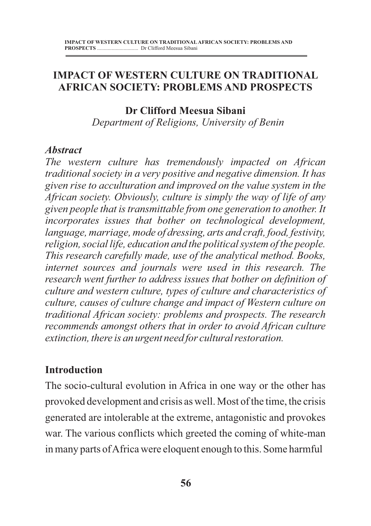## **IMPACT OF WESTERN CULTURE ON TRADITIONAL AFRICAN SOCIETY: PROBLEMS AND PROSPECTS**

#### **Dr Clifford Meesua Sibani**

 *Department of Religions, University of Benin*

#### *Abstract*

*The western culture has tremendously impacted on African traditional society in a very positive and negative dimension. It has given rise to acculturation and improved on the value system in the African society. Obviously, culture is simply the way of life of any given people that is transmittable from one generation to another. It incorporates issues that bother on technological development, language, marriage, mode of dressing, arts and craft, food, festivity, religion, social life, education and the political system of the people. This research carefully made, use of the analytical method. Books, internet sources and journals were used in this research. The research went further to address issues that bother on definition of culture and western culture, types of culture and characteristics of culture, causes of culture change and impact of Western culture on traditional African society: problems and prospects. The research recommends amongst others that in order to avoid African culture extinction, there is an urgent need for cultural restoration.*

## **Introduction**

The socio-cultural evolution in Africa in one way or the other has provoked development and crisis as well. Most of the time, the crisis generated are intolerable at the extreme, antagonistic and provokes war. The various conflicts which greeted the coming of white-man in many parts of Africa were eloquent enough to this. Some harmful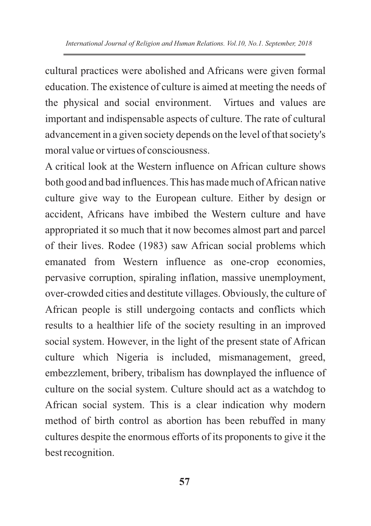cultural practices were abolished and Africans were given formal education. The existence of culture is aimed at meeting the needs of the physical and social environment. Virtues and values are important and indispensable aspects of culture. The rate of cultural advancement in a given society depends on the level of that society's moral value or virtues of consciousness.

A critical look at the Western influence on African culture shows both good and bad influences. This has made much of African native culture give way to the European culture. Either by design or accident, Africans have imbibed the Western culture and have appropriated it so much that it now becomes almost part and parcel of their lives. Rodee (1983) saw African social problems which emanated from Western influence as one-crop economies, pervasive corruption, spiraling inflation, massive unemployment, over-crowded cities and destitute villages. Obviously, the culture of African people is still undergoing contacts and conflicts which results to a healthier life of the society resulting in an improved social system. However, in the light of the present state of African culture which Nigeria is included, mismanagement, greed, embezzlement, bribery, tribalism has downplayed the influence of culture on the social system. Culture should act as a watchdog to African social system. This is a clear indication why modern method of birth control as abortion has been rebuffed in many cultures despite the enormous efforts of its proponents to give it the best recognition.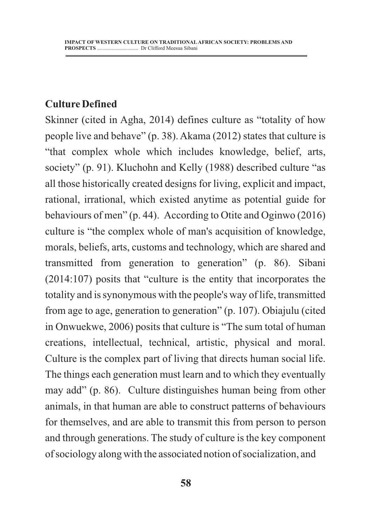### **Culture Defined**

Skinner (cited in Agha, 2014) defines culture as "totality of how people live and behave" (p. 38). Akama (2012) states that culture is "that complex whole which includes knowledge, belief, arts, society" (p. 91). Kluchohn and Kelly (1988) described culture "as all those historically created designs for living, explicit and impact, rational, irrational, which existed anytime as potential guide for behaviours of men" (p. 44). According to Otite and Oginwo (2016) culture is "the complex whole of man's acquisition of knowledge, morals, beliefs, arts, customs and technology, which are shared and transmitted from generation to generation" (p. 86). Sibani (2014:107) posits that "culture is the entity that incorporates the totality and is synonymous with the people's way of life, transmitted from age to age, generation to generation" (p. 107). Obiajulu (cited in Onwuekwe, 2006) posits that culture is "The sum total of human creations, intellectual, technical, artistic, physical and moral. Culture is the complex part of living that directs human social life. The things each generation must learn and to which they eventually may add" (p. 86). Culture distinguishes human being from other animals, in that human are able to construct patterns of behaviours for themselves, and are able to transmit this from person to person and through generations. The study of culture is the key component of sociology along with the associated notion of socialization, and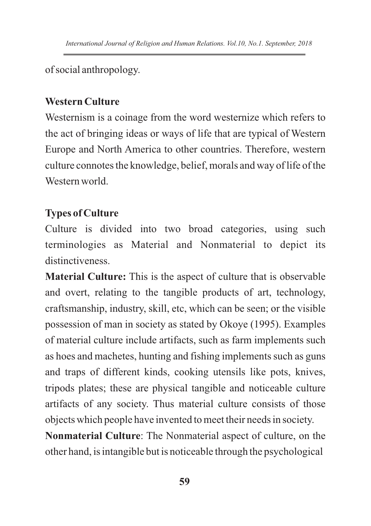of social anthropology.

# **Western Culture**

Westernism is a coinage from the word westernize which refers to the act of bringing ideas or ways of life that are typical of Western Europe and North America to other countries. Therefore, western culture connotes the knowledge, belief, morals and way of life of the Western world.

# **Types of Culture**

Culture is divided into two broad categories, using such terminologies as Material and Nonmaterial to depict its distinctiveness.

**Material Culture:** This is the aspect of culture that is observable and overt, relating to the tangible products of art, technology, craftsmanship, industry, skill, etc, which can be seen; or the visible possession of man in society as stated by Okoye (1995). Examples of material culture include artifacts, such as farm implements such as hoes and machetes, hunting and fishing implements such as guns and traps of different kinds, cooking utensils like pots, knives, tripods plates; these are physical tangible and noticeable culture artifacts of any society. Thus material culture consists of those objects which people have invented to meet their needs in society.

**Nonmaterial Culture**: The Nonmaterial aspect of culture, on the other hand, is intangible but is noticeable through the psychological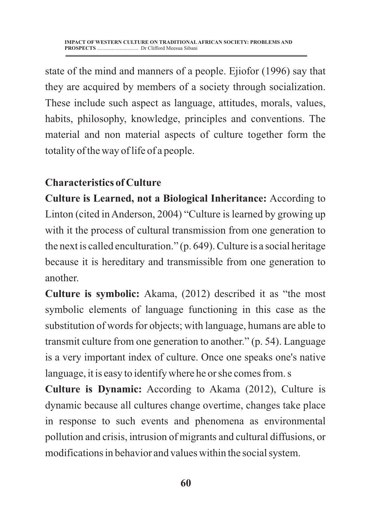state of the mind and manners of a people. Ejiofor (1996) say that they are acquired by members of a society through socialization. These include such aspect as language, attitudes, morals, values, habits, philosophy, knowledge, principles and conventions. The material and non material aspects of culture together form the totality of the way of life of a people.

## **Characteristics of Culture**

**Culture is Learned, not a Biological Inheritance:** According to Linton (cited in Anderson, 2004) "Culture is learned by growing up with it the process of cultural transmission from one generation to the next is called enculturation." (p. 649). Culture is a social heritage because it is hereditary and transmissible from one generation to another.

**Culture is symbolic:** Akama, (2012) described it as "the most symbolic elements of language functioning in this case as the substitution of words for objects; with language, humans are able to transmit culture from one generation to another." (p. 54). Language is a very important index of culture. Once one speaks one's native language, it is easy to identify where he or she comes from. s

**Culture is Dynamic:** According to Akama (2012), Culture is dynamic because all cultures change overtime, changes take place in response to such events and phenomena as environmental pollution and crisis, intrusion of migrants and cultural diffusions, or modifications in behavior and values within the social system.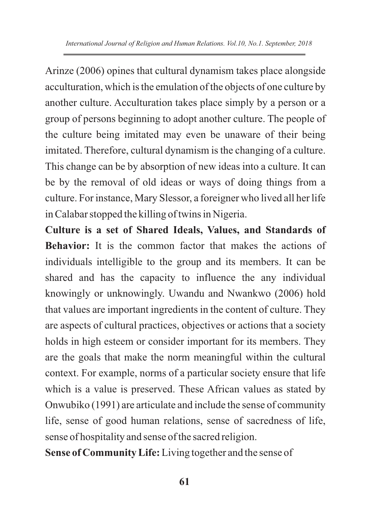Arinze (2006) opines that cultural dynamism takes place alongside acculturation, which is the emulation of the objects of one culture by another culture. Acculturation takes place simply by a person or a group of persons beginning to adopt another culture. The people of the culture being imitated may even be unaware of their being imitated. Therefore, cultural dynamism is the changing of a culture. This change can be by absorption of new ideas into a culture. It can be by the removal of old ideas or ways of doing things from a culture. For instance, Mary Slessor, a foreigner who lived all her life in Calabar stopped the killing of twins in Nigeria.

**Culture is a set of Shared Ideals, Values, and Standards of Behavior:** It is the common factor that makes the actions of individuals intelligible to the group and its members. It can be shared and has the capacity to influence the any individual knowingly or unknowingly. Uwandu and Nwankwo (2006) hold that values are important ingredients in the content of culture. They are aspects of cultural practices, objectives or actions that a society holds in high esteem or consider important for its members. They are the goals that make the norm meaningful within the cultural context. For example, norms of a particular society ensure that life which is a value is preserved. These African values as stated by Onwubiko (1991) are articulate and include the sense of community life, sense of good human relations, sense of sacredness of life, sense of hospitality and sense of the sacred religion.

**Sense of Community Life:**Living together and the sense of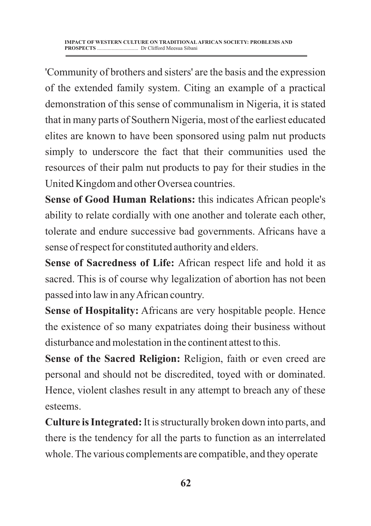'Community of brothers and sisters' are the basis and the expression of the extended family system. Citing an example of a practical demonstration of this sense of communalism in Nigeria, it is stated that in many parts of Southern Nigeria, most of the earliest educated elites are known to have been sponsored using palm nut products simply to underscore the fact that their communities used the resources of their palm nut products to pay for their studies in the United Kingdom and other Oversea countries.

**Sense of Good Human Relations:** this indicates African people's ability to relate cordially with one another and tolerate each other, tolerate and endure successive bad governments. Africans have a sense of respect for constituted authority and elders.

**Sense of Sacredness of Life:** African respect life and hold it as sacred. This is of course why legalization of abortion has not been passed into law in any African country.

**Sense of Hospitality:** Africans are very hospitable people. Hence the existence of so many expatriates doing their business without disturbance and molestation in the continent attest to this.

**Sense of the Sacred Religion:** Religion, faith or even creed are personal and should not be discredited, toyed with or dominated. Hence, violent clashes result in any attempt to breach any of these esteems.

**Culture is Integrated:**It is structurally broken down into parts, and there is the tendency for all the parts to function as an interrelated whole. The various complements are compatible, and they operate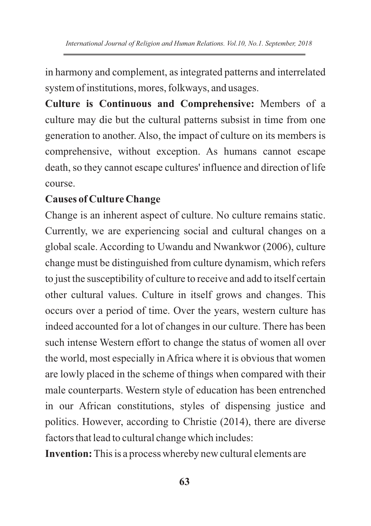in harmony and complement, as integrated patterns and interrelated system of institutions, mores, folkways, and usages.

**Culture is Continuous and Comprehensive:** Members of a culture may die but the cultural patterns subsist in time from one generation to another. Also, the impact of culture on its members is comprehensive, without exception. As humans cannot escape death, so they cannot escape cultures' influence and direction of life course.

## **Causes of Culture Change**

Change is an inherent aspect of culture. No culture remains static. Currently, we are experiencing social and cultural changes on a global scale. According to Uwandu and Nwankwor (2006), culture change must be distinguished from culture dynamism, which refers to just the susceptibility of culture to receive and add to itself certain other cultural values. Culture in itself grows and changes. This occurs over a period of time. Over the years, western culture has indeed accounted for a lot of changes in our culture. There has been such intense Western effort to change the status of women all over the world, most especially in Africa where it is obvious that women are lowly placed in the scheme of things when compared with their male counterparts. Western style of education has been entrenched in our African constitutions, styles of dispensing justice and politics. However, according to Christie (2014), there are diverse factors that lead to cultural change which includes:

**Invention:** This is a process whereby new cultural elements are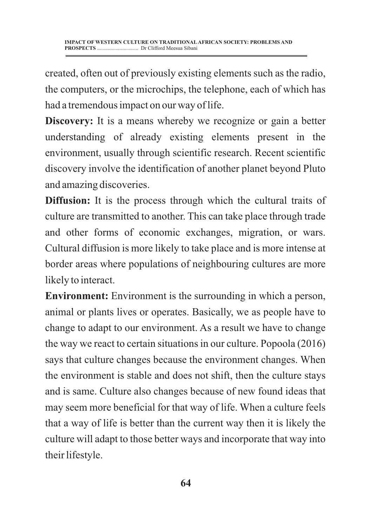created, often out of previously existing elements such as the radio, the computers, or the microchips, the telephone, each of which has had a tremendous impact on our way of life.

**Discovery:** It is a means whereby we recognize or gain a better understanding of already existing elements present in the environment, usually through scientific research. Recent scientific discovery involve the identification of another planet beyond Pluto and amazing discoveries.

**Diffusion:** It is the process through which the cultural traits of culture are transmitted to another. This can take place through trade and other forms of economic exchanges, migration, or wars. Cultural diffusion is more likely to take place and is more intense at border areas where populations of neighbouring cultures are more likely to interact.

**Environment:** Environment is the surrounding in which a person, animal or plants lives or operates. Basically, we as people have to change to adapt to our environment. As a result we have to change the way we react to certain situations in our culture. Popoola (2016) says that culture changes because the environment changes. When the environment is stable and does not shift, then the culture stays and is same. Culture also changes because of new found ideas that may seem more beneficial for that way of life. When a culture feels that a way of life is better than the current way then it is likely the culture will adapt to those better ways and incorporate that way into their lifestyle.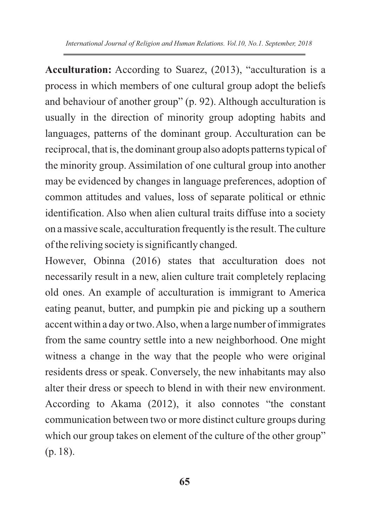**Acculturation:** According to Suarez, (2013), "acculturation is a process in which members of one cultural group adopt the beliefs and behaviour of another group" (p. 92). Although acculturation is usually in the direction of minority group adopting habits and languages, patterns of the dominant group. Acculturation can be reciprocal, that is, the dominant group also adopts patterns typical of the minority group. Assimilation of one cultural group into another may be evidenced by changes in language preferences, adoption of common attitudes and values, loss of separate political or ethnic identification. Also when alien cultural traits diffuse into a society on a massive scale, acculturation frequently is the result. The culture of the reliving society is significantly changed.

However, Obinna (2016) states that acculturation does not necessarily result in a new, alien culture trait completely replacing old ones. An example of acculturation is immigrant to America eating peanut, butter, and pumpkin pie and picking up a southern accent within a day or two. Also, when a large number of immigrates from the same country settle into a new neighborhood. One might witness a change in the way that the people who were original residents dress or speak. Conversely, the new inhabitants may also alter their dress or speech to blend in with their new environment. According to Akama (2012), it also connotes "the constant communication between two or more distinct culture groups during which our group takes on element of the culture of the other group" (p. 18).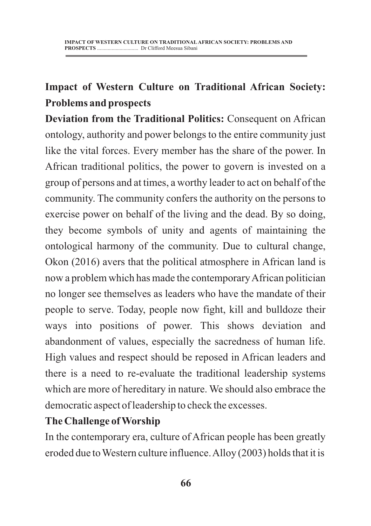# **Impact of Western Culture on Traditional African Society: Problems and prospects**

**Deviation from the Traditional Politics:** Consequent on African ontology, authority and power belongs to the entire community just like the vital forces. Every member has the share of the power. In African traditional politics, the power to govern is invested on a group of persons and at times, a worthy leader to act on behalf of the community. The community confers the authority on the persons to exercise power on behalf of the living and the dead. By so doing, they become symbols of unity and agents of maintaining the ontological harmony of the community. Due to cultural change, Okon (2016) avers that the political atmosphere in African land is now a problem which has made the contemporary African politician no longer see themselves as leaders who have the mandate of their people to serve. Today, people now fight, kill and bulldoze their ways into positions of power. This shows deviation and abandonment of values, especially the sacredness of human life. High values and respect should be reposed in African leaders and there is a need to re-evaluate the traditional leadership systems which are more of hereditary in nature. We should also embrace the democratic aspect of leadership to check the excesses.

## **The Challenge of Worship**

In the contemporary era, culture of African people has been greatly eroded due to Western culture influence. Alloy (2003) holds that it is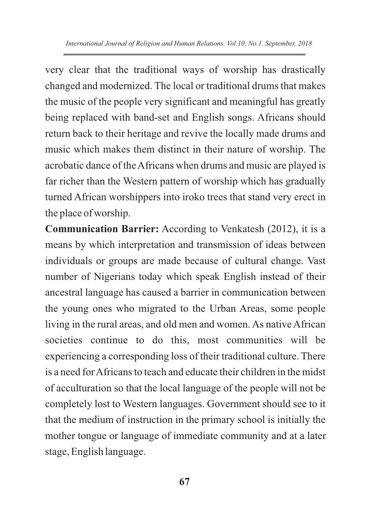very clear that the traditional ways of worship has drastically changed and modernized. The local or traditional drums that makes the music of the people very significant and meaningful has greatly being replaced with band-set and English songs. Africans should return back to their heritage and revive the locally made drums and music which makes them distinct in their nature of worship. The acrobatic dance of the Africans when drums and music are played is far richer than the Western pattern of worship which has gradually turned African worshippers into iroko trees that stand very erect in the place of worship.

**Communication Barrier:** According to Venkatesh (2012), it is a means by which interpretation and transmission of ideas between individuals or groups are made because of cultural change. Vast number of Nigerians today which speak English instead of their ancestral language has caused a barrier in communication between the young ones who migrated to the Urban Areas, some people living in the rural areas, and old men and women. As native African societies continue to do this, most communities will be experiencing a corresponding loss of their traditional culture. There is a need for Africans to teach and educate their children in the midst of acculturation so that the local language of the people will not be completely lost to Western languages. Government should see to it that the medium of instruction in the primary school is initially the mother tongue or language of immediate community and at a later stage, English language.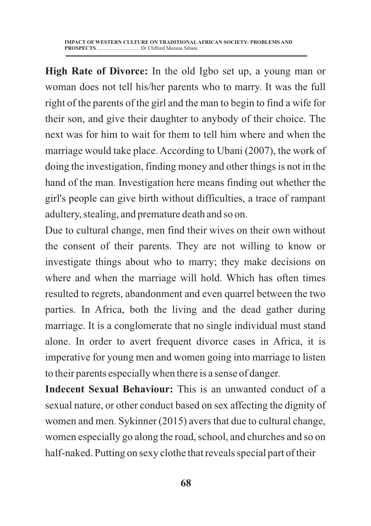**High Rate of Divorce:** In the old Igbo set up, a young man or woman does not tell his/her parents who to marry. It was the full right of the parents of the girl and the man to begin to find a wife for their son, and give their daughter to anybody of their choice. The next was for him to wait for them to tell him where and when the marriage would take place. According to Ubani (2007), the work of doing the investigation, finding money and other things is not in the hand of the man. Investigation here means finding out whether the girl's people can give birth without difficulties, a trace of rampant adultery, stealing, and premature death and so on.

Due to cultural change, men find their wives on their own without the consent of their parents. They are not willing to know or investigate things about who to marry; they make decisions on where and when the marriage will hold. Which has often times resulted to regrets, abandonment and even quarrel between the two parties. In Africa, both the living and the dead gather during marriage. It is a conglomerate that no single individual must stand alone. In order to avert frequent divorce cases in Africa, it is imperative for young men and women going into marriage to listen to their parents especially when there is a sense of danger.

**Indecent Sexual Behaviour:** This is an unwanted conduct of a sexual nature, or other conduct based on sex affecting the dignity of women and men. Sykinner (2015) avers that due to cultural change, women especially go along the road, school, and churches and so on half-naked. Putting on sexy clothe that reveals special part of their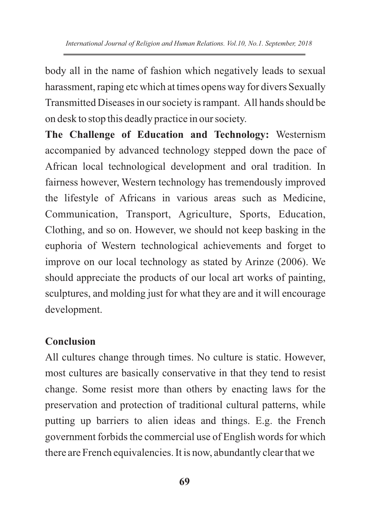body all in the name of fashion which negatively leads to sexual harassment, raping etc which at times opens way for divers Sexually Transmitted Diseases in our society is rampant. All hands should be on desk to stop this deadly practice in our society.

**The Challenge of Education and Technology:** Westernism accompanied by advanced technology stepped down the pace of African local technological development and oral tradition. In fairness however, Western technology has tremendously improved the lifestyle of Africans in various areas such as Medicine, Communication, Transport, Agriculture, Sports, Education, Clothing, and so on. However, we should not keep basking in the euphoria of Western technological achievements and forget to improve on our local technology as stated by Arinze (2006). We should appreciate the products of our local art works of painting, sculptures, and molding just for what they are and it will encourage development.

## **Conclusion**

All cultures change through times. No culture is static. However, most cultures are basically conservative in that they tend to resist change. Some resist more than others by enacting laws for the preservation and protection of traditional cultural patterns, while putting up barriers to alien ideas and things. E.g. the French government forbids the commercial use of English words for which there are French equivalencies. It is now, abundantly clear that we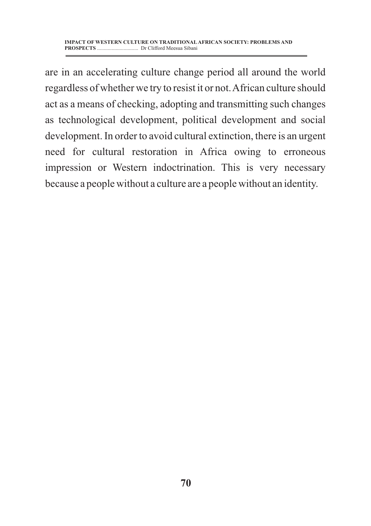are in an accelerating culture change period all around the world regardless of whether we try to resist it or not. African culture should act as a means of checking, adopting and transmitting such changes as technological development, political development and social development. In order to avoid cultural extinction, there is an urgent need for cultural restoration in Africa owing to erroneous impression or Western indoctrination. This is very necessary because a people without a culture are a people without an identity.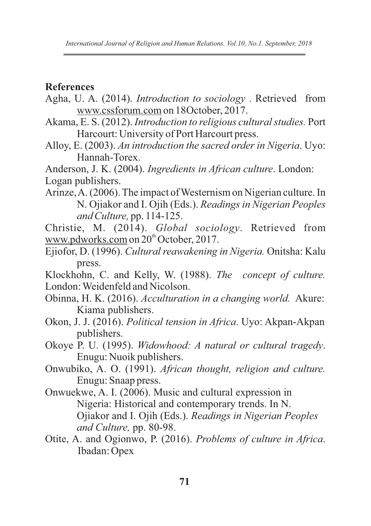#### **References**

- Agha, U. A. (2014). *Introduction to sociology* . Retrieved from www.cssforum.com on 18October, 2017.
- Akama, E. S. (2012). *Introduction to religious cultural studies.* Port Harcourt: University of Port Harcourt press.
- Alloy, E. (2003). *An introduction the sacred order in Nigeria*. Uyo: Hannah-Torex.
- Anderson, J. K. (2004). *Ingredients in African culture*. London: Logan publishers.
- Arinze, A. (2006). The impact of Westernism on Nigerian culture. In N. Ojiakor and I. Ojih (Eds.). *Readings in Nigerian Peoples and Culture,* pp. 114-125.
- Christie, M. (2014). *Global sociology*. Retrieved from www.pdworks.com on 20<sup>th</sup> October, 2017.
- Ejiofor, D. (1996). *Cultural reawakening in Nigeria.* Onitsha: Kalu press.
- Klockhohn, C. and Kelly, W. (1988). *The concept of culture.*  London: Weidenfeld and Nicolson.
- Obinna, H. K. (2016). *Acculturation in a changing world.* Akure: Kiama publishers.
- Okon, J. J. (2016). *Political tension in Africa*. Uyo: Akpan-Akpan publishers.
- Okoye P. U. (1995). *Widowhood: A natural or cultural tragedy*. Enugu: Nuoik publishers.
- Onwubiko, A. O. (1991). *African thought, religion and culture.* Enugu: Snaap press.
- Onwuekwe, A. I. (2006). Music and cultural expression in Nigeria: Historical and contemporary trends. In N. Ojiakor and I. Ojih (Eds.). *Readings in Nigerian Peoples and Culture,* pp. 80-98.
- Otite, A. and Ogionwo, P. (2016). *Problems of culture in Africa*. Ibadan: Opex